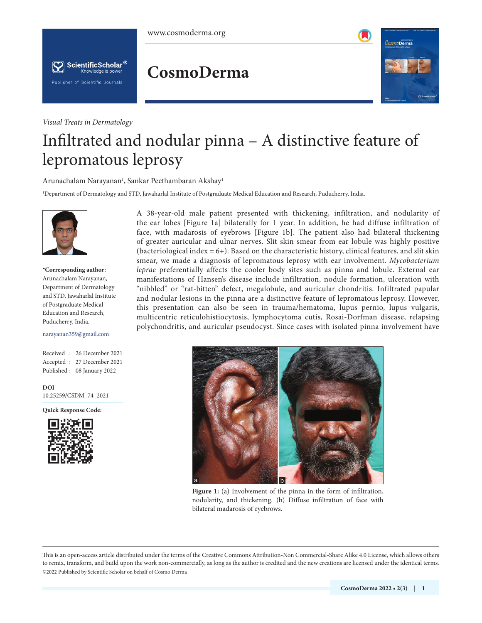## **CosmoDerma**

*Visual Treats in Dermatology*

Publisher of Scientific Journals

ScientificScholar<sup>®</sup> Knowledge is power



# Infiltrated and nodular pinna – A distinctive feature of lepromatous leprosy

Arunachalam Narayanan<sup>1</sup>, Sankar Peethambaran Akshay<sup>1</sup>

1 Department of Dermatology and STD, Jawaharlal Institute of Postgraduate Medical Education and Research, Puducherry, India.



**\*Corresponding author:** Arunachalam Narayanan, Department of Dermatology and STD, Jawaharlal Institute of Postgraduate Medical Education and Research, Puducherry, India.

#### narayanan359@gmail.com

Received : 26 December 2021 Accepted : 27 December 2021 Published : 08 January 2022

**DOI** [10.25259/CSDM\\_74\\_2021](https://dx.doi.org/10.25259/CSDM_74_2021)

**Quick Response Code:**



A 38-year-old male patient presented with thickening, infiltration, and nodularity of the ear lobes [Figure 1a] bilaterally for 1 year. In addition, he had diffuse infiltration of face, with madarosis of eyebrows [Figure 1b]. The patient also had bilateral thickening of greater auricular and ulnar nerves. Slit skin smear from ear lobule was highly positive (bacteriological index  $= 6+$ ). Based on the characteristic history, clinical features, and slit skin smear, we made a diagnosis of lepromatous leprosy with ear involvement. *Mycobacterium leprae* preferentially affects the cooler body sites such as pinna and lobule. External ear manifestations of Hansen's disease include infiltration, nodule formation, ulceration with "nibbled" or "rat-bitten" defect, megalobule, and auricular chondritis. Infiltrated papular and nodular lesions in the pinna are a distinctive feature of lepromatous leprosy. However, this presentation can also be seen in trauma/hematoma, lupus pernio, lupus vulgaris, multicentric reticulohistiocytosis, lymphocytoma cutis, Rosai-Dorfman disease, relapsing polychondritis, and auricular pseudocyst. Since cases with isolated pinna involvement have



**Figure 1:** (a) Involvement of the pinna in the form of infiltration, nodularity, and thickening. (b) Diffuse infiltration of face with bilateral madarosis of eyebrows.

is is an open-access article distributed under the terms of the Creative Commons Attribution-Non Commercial-Share Alike 4.0 License, which allows others to remix, transform, and build upon the work non-commercially, as long as the author is credited and the new creations are licensed under the identical terms. ©2022 Published by Scientific Scholar on behalf of Cosmo Derma